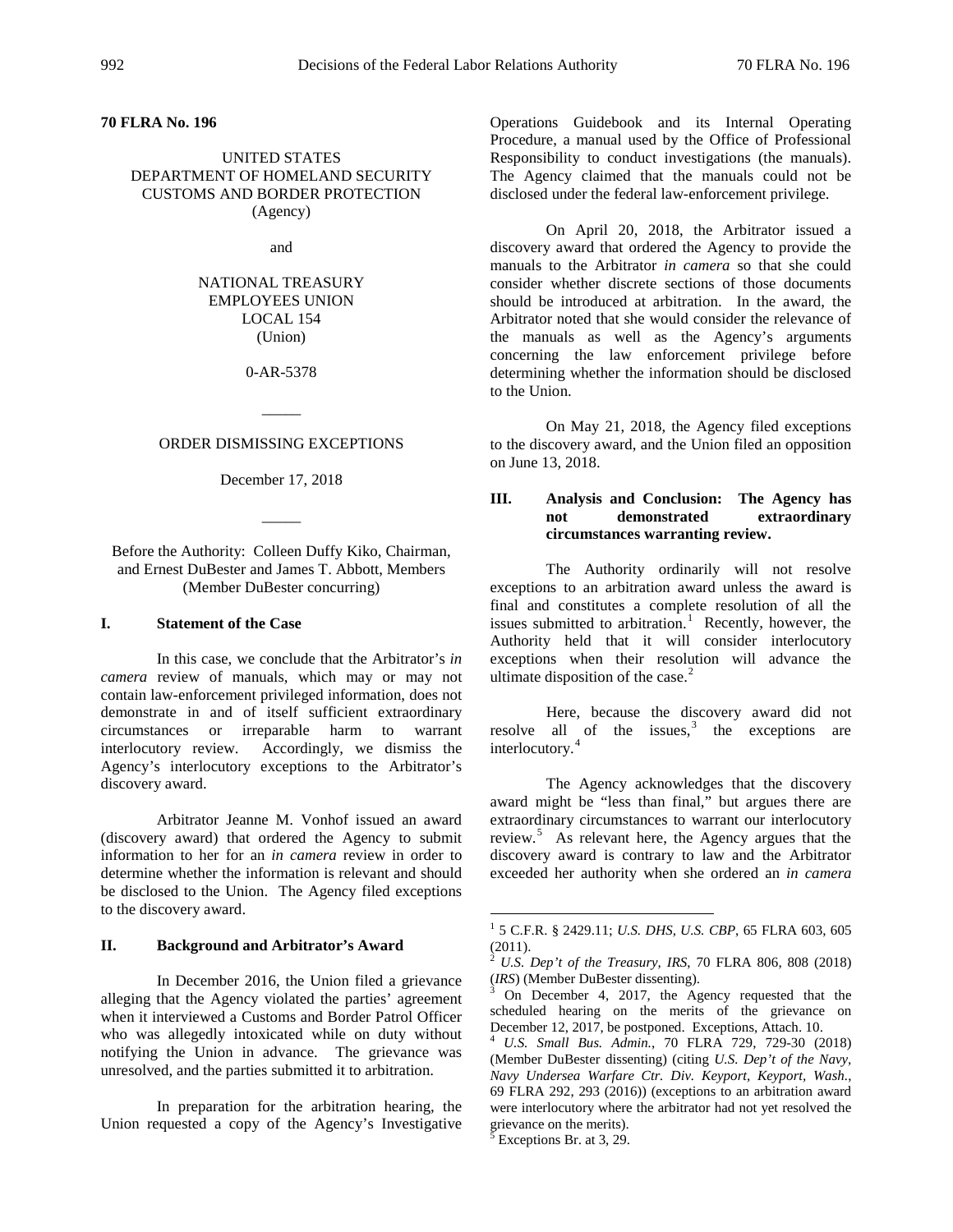**70 FLRA No. 196**

## UNITED STATES DEPARTMENT OF HOMELAND SECURITY CUSTOMS AND BORDER PROTECTION (Agency)

and

# NATIONAL TREASURY EMPLOYEES UNION LOCAL 154 (Union)

0-AR-5378

## ORDER DISMISSING EXCEPTIONS

 $\overline{\phantom{a}}$ 

December 17, 2018

 $\overline{\phantom{a}}$ 

Before the Authority: Colleen Duffy Kiko, Chairman, and Ernest DuBester and James T. Abbott, Members (Member DuBester concurring)

## **I. Statement of the Case**

In this case, we conclude that the Arbitrator's *in camera* review of manuals, which may or may not contain law-enforcement privileged information, does not demonstrate in and of itself sufficient extraordinary circumstances or irreparable harm to warrant interlocutory review. Accordingly, we dismiss the Agency's interlocutory exceptions to the Arbitrator's discovery award.

Arbitrator Jeanne M. Vonhof issued an award (discovery award) that ordered the Agency to submit information to her for an *in camera* review in order to determine whether the information is relevant and should be disclosed to the Union. The Agency filed exceptions to the discovery award.

#### <span id="page-0-1"></span><span id="page-0-0"></span>**II. Background and Arbitrator's Award**

<span id="page-0-3"></span><span id="page-0-2"></span>In December 2016, the Union filed a grievance alleging that the Agency violated the parties' agreement when it interviewed a Customs and Border Patrol Officer who was allegedly intoxicated while on duty without notifying the Union in advance. The grievance was unresolved, and the parties submitted it to arbitration.

<span id="page-0-4"></span>In preparation for the arbitration hearing, the Union requested a copy of the Agency's Investigative Operations Guidebook and its Internal Operating Procedure, a manual used by the Office of Professional Responsibility to conduct investigations (the manuals). The Agency claimed that the manuals could not be disclosed under the federal law-enforcement privilege.

On April 20, 2018, the Arbitrator issued a discovery award that ordered the Agency to provide the manuals to the Arbitrator *in camera* so that she could consider whether discrete sections of those documents should be introduced at arbitration. In the award, the Arbitrator noted that she would consider the relevance of the manuals as well as the Agency's arguments concerning the law enforcement privilege before determining whether the information should be disclosed to the Union.

On May 21, 2018, the Agency filed exceptions to the discovery award, and the Union filed an opposition on June 13, 2018.

## **III. Analysis and Conclusion: The Agency has not demonstrated extraordinary circumstances warranting review.**

The Authority ordinarily will not resolve exceptions to an arbitration award unless the award is final and constitutes a complete resolution of all the issues submitted to arbitration.<sup>[1](#page-0-0)</sup> Recently, however, the Authority held that it will consider interlocutory exceptions when their resolution will advance the ultimate disposition of the case. $2$ 

Here, because the discovery award did not resolve all of the issues, $3$  the exceptions are interlocutory.<sup>[4](#page-0-3)</sup>

The Agency acknowledges that the discovery award might be "less than final," but argues there are extraordinary circumstances to warrant our interlocutory review.<sup>[5](#page-0-4)</sup> As relevant here, the Agency argues that the discovery award is contrary to law and the Arbitrator exceeded her authority when she ordered an *in camera* 

 <sup>1</sup> 5 C.F.R. § 2429.11; *U.S. DHS, U.S. CBP*, 65 FLRA 603, 605  $(2011).$ 

<sup>2</sup> *U.S. Dep't of the Treasury, IRS*, 70 FLRA 806, 808 (2018)

On December 4, 2017, the Agency requested that the scheduled hearing on the merits of the grievance on December 12, 2017, be postponed. Exceptions, Attach. 10.

December 12, 2017, be postponed. Exceptions, Attach. 10. <sup>4</sup> *U.S. Small Bus. Admin.*, 70 FLRA 729, 729-30 (2018) (Member DuBester dissenting) (citing *U.S. Dep't of the Navy, Navy Undersea Warfare Ctr. Div. Keyport, Keyport, Wash.*, 69 FLRA 292, 293 (2016)) (exceptions to an arbitration award were interlocutory where the arbitrator had not yet resolved the grievance on the merits).

Exceptions Br. at 3, 29.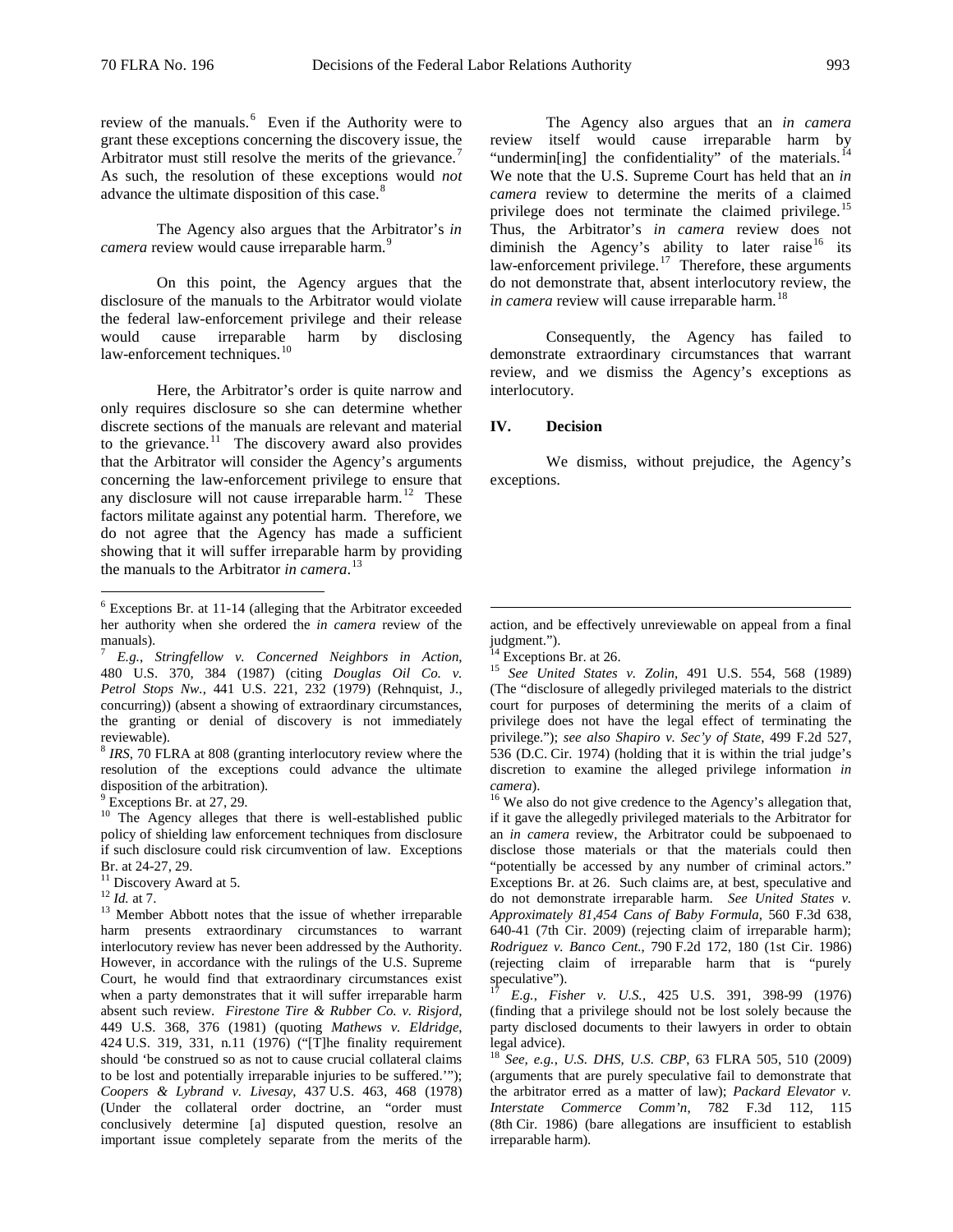review of the manuals. [6](#page-1-0) Even if the Authority were to grant these exceptions concerning the discovery issue, the Arbitrator must still resolve the merits of the grievance.<sup>[7](#page-1-1)</sup> As such, the resolution of these exceptions would *not* advance the ultimate disposition of this case.<sup>[8](#page-1-2)</sup>

The Agency also argues that the Arbitrator's *in*  camera review would cause irreparable harm.<sup>[9](#page-1-3)</sup>

On this point, the Agency argues that the disclosure of the manuals to the Arbitrator would violate the federal law-enforcement privilege and their release would cause irreparable harm by disclosing law-enforcement techniques.<sup>[10](#page-1-4)</sup>

Here, the Arbitrator's order is quite narrow and only requires disclosure so she can determine whether discrete sections of the manuals are relevant and material to the grievance.<sup>[11](#page-1-5)</sup> The discovery award also provides that the Arbitrator will consider the Agency's arguments concerning the law-enforcement privilege to ensure that any disclosure will not cause irreparable harm.<sup>12</sup> These factors militate against any potential harm. Therefore, we do not agree that the Agency has made a sufficient showing that it will suffer irreparable harm by providing the manuals to the Arbitrator *in camera*. [13](#page-1-7) 

<span id="page-1-2"></span><sup>8</sup> *IRS*, 70 FLRA at 808 (granting interlocutory review where the resolution of the exceptions could advance the ultimate

<span id="page-1-4"></span><span id="page-1-3"></span><sup>9</sup> Exceptions Br. at 27, 29. 10 The Agency alleges that there is well-established public policy of shielding law enforcement techniques from disclosure if such disclosure could risk circumvention of law. Exceptions Br. at 24-27, 29.<br><sup>11</sup> Discovery Award at 5.<br><sup>12</sup> *Id.* at 7.<br><sup>13</sup> Member Abbott notes that the issue of whether irreparable

<span id="page-1-6"></span>

<span id="page-1-10"></span><span id="page-1-9"></span><span id="page-1-7"></span>harm presents extraordinary circumstances to warrant interlocutory review has never been addressed by the Authority. However, in accordance with the rulings of the U.S. Supreme Court, he would find that extraordinary circumstances exist when a party demonstrates that it will suffer irreparable harm absent such review. *Firestone Tire & Rubber Co. v. Risjord*, 449 U.S. 368, 376 (1981) (quoting *Mathews v. Eldridge*, 424 U.S. 319, 331, n.11 (1976) ("[T]he finality requirement should 'be construed so as not to cause crucial collateral claims to be lost and potentially irreparable injuries to be suffered.'"); *Coopers & Lybrand v. Livesay*, 437 U.S. 463, 468 (1978) (Under the collateral order doctrine, an "order must conclusively determine [a] disputed question, resolve an important issue completely separate from the merits of the

The Agency also argues that an *in camera* review itself would cause irreparable harm by "undermin[ing] the confidentiality" of the materials.<sup>[14](#page-1-1)</sup> We note that the U.S. Supreme Court has held that an *in camera* review to determine the merits of a claimed privilege does not terminate the claimed privilege.<sup>[15](#page-1-8)</sup> Thus, the Arbitrator's *in camera* review does not diminish the Agency's ability to later raise<sup>[16](#page-1-3)</sup> its law-enforcement privilege. $17$  Therefore, these arguments do not demonstrate that, absent interlocutory review, the *in camera* review will cause irreparable harm. [18](#page-1-10)

Consequently, the Agency has failed to demonstrate extraordinary circumstances that warrant review, and we dismiss the Agency's exceptions as interlocutory.

## **IV. Decision**

We dismiss, without prejudice, the Agency's exceptions.

<sup>14</sup> Exceptions Br. at 26. 15 *See United States v. Zolin*, 491 U.S. 554, 568 (1989) (The "disclosure of allegedly privileged materials to the district court for purposes of determining the merits of a claim of privilege does not have the legal effect of terminating the privilege."); *see also Shapiro v. Sec'y of State*, 499 F.2d 527, 536 (D.C. Cir. 1974) (holding that it is within the trial judge's discretion to examine the alleged privilege information *in* 

<sup>16</sup> We also do not give credence to the Agency's allegation that, if it gave the allegedly privileged materials to the Arbitrator for an *in camera* review, the Arbitrator could be subpoenaed to disclose those materials or that the materials could then "potentially be accessed by any number of criminal actors." Exceptions Br. at 26. Such claims are, at best, speculative and do not demonstrate irreparable harm. *See United States v. Approximately 81,454 Cans of Baby Formula*, 560 F.3d 638, 640-41 (7th Cir. 2009) (rejecting claim of irreparable harm); *Rodriguez v. Banco Cent.*, 790 F.2d 172, 180 (1st Cir. 1986) (rejecting claim of irreparable harm that is "purely speculative").

<sup>17</sup> *E.g.*, *Fisher v. U.S.*, 425 U.S. 391, 398-99 (1976) (finding that a privilege should not be lost solely because the party disclosed documents to their lawyers in order to obtain legal advice).

<sup>18</sup> *See, e.g.*, *U.S. DHS, U.S. CBP*, 63 FLRA 505, 510 (2009) (arguments that are purely speculative fail to demonstrate that the arbitrator erred as a matter of law); *Packard Elevator v. Interstate Commerce Comm'n*, 782 F.3d 112, 115 (8th Cir. 1986) (bare allegations are insufficient to establish irreparable harm).

<span id="page-1-0"></span> <sup>6</sup> Exceptions Br. at 11-14 (alleging that the Arbitrator exceeded her authority when she ordered the *in camera* review of the manuals). <sup>7</sup> *E.g.*, *Stringfellow v. Concerned Neighbors in Action*,

<span id="page-1-8"></span><span id="page-1-1"></span><sup>480</sup> U.S. 370, 384 (1987) (citing *Douglas Oil Co. v. Petrol Stops Nw.*, 441 U.S. 221, 232 (1979) (Rehnquist, J., concurring)) (absent a showing of extraordinary circumstances, the granting or denial of discovery is not immediately reviewable).

<span id="page-1-5"></span>

action, and be effectively unreviewable on appeal from a final